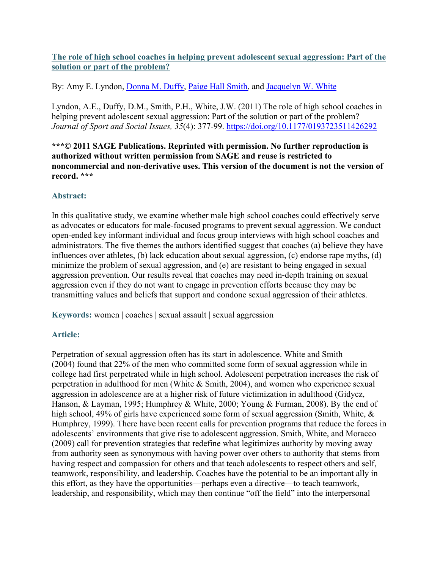# **The role of high school coaches in helping prevent adolescent sexual aggression: Part of the solution or part of the problem?**

By: Amy E. Lyndon, [Donna M. Duffy,](http://libres.uncg.edu/ir/uncg/clist.aspx?id=1457) [Paige Hall Smith,](https://libres.uncg.edu/ir/uncg/clist.aspx?id=1606) and [Jacquelyn W. White](http://libres.uncg.edu/ir/uncg/clist.aspx?id=475)

Lyndon, A.E., Duffy, D.M., Smith, P.H., White, J.W. (2011) The role of high school coaches in helping prevent adolescent sexual aggression: Part of the solution or part of the problem? *Journal of Sport and Social Issues, 35*(4): 377-99.<https://doi.org/10.1177/0193723511426292>

**\*\*\*© 2011 SAGE Publications. Reprinted with permission. No further reproduction is authorized without written permission from SAGE and reuse is restricted to noncommercial and non-derivative uses. This version of the document is not the version of record. \*\*\***

## **Abstract:**

In this qualitative study, we examine whether male high school coaches could effectively serve as advocates or educators for male-focused programs to prevent sexual aggression. We conduct open-ended key informant individual and focus group interviews with high school coaches and administrators. The five themes the authors identified suggest that coaches (a) believe they have influences over athletes, (b) lack education about sexual aggression, (c) endorse rape myths, (d) minimize the problem of sexual aggression, and (e) are resistant to being engaged in sexual aggression prevention. Our results reveal that coaches may need in-depth training on sexual aggression even if they do not want to engage in prevention efforts because they may be transmitting values and beliefs that support and condone sexual aggression of their athletes.

**Keywords:** women | coaches | sexual assault | sexual aggression

# **Article:**

Perpetration of sexual aggression often has its start in adolescence. White and Smith (2004) found that 22% of the men who committed some form of sexual aggression while in college had first perpetrated while in high school. Adolescent perpetration increases the risk of perpetration in adulthood for men (White & Smith, 2004), and women who experience sexual aggression in adolescence are at a higher risk of future victimization in adulthood (Gidycz, Hanson, & Layman, 1995; Humphrey & White, 2000; Young & Furman, 2008). By the end of high school, 49% of girls have experienced some form of sexual aggression (Smith, White, & Humphrey, 1999). There have been recent calls for prevention programs that reduce the forces in adolescents' environments that give rise to adolescent aggression. Smith, White, and Moracco (2009) call for prevention strategies that redefine what legitimizes authority by moving away from authority seen as synonymous with having power over others to authority that stems from having respect and compassion for others and that teach adolescents to respect others and self, teamwork, responsibility, and leadership. Coaches have the potential to be an important ally in this effort, as they have the opportunities—perhaps even a directive—to teach teamwork, leadership, and responsibility, which may then continue "off the field" into the interpersonal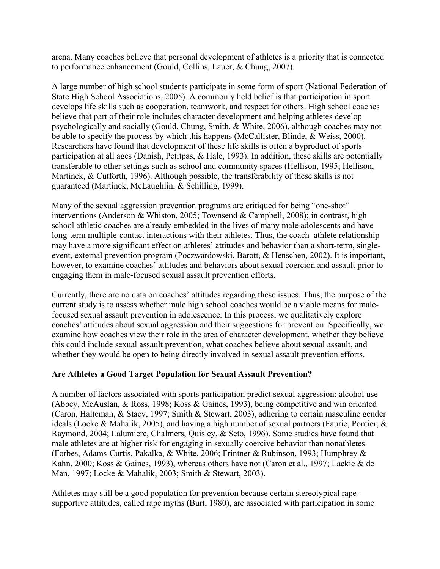arena. Many coaches believe that personal development of athletes is a priority that is connected to performance enhancement (Gould, Collins, Lauer, & Chung, 2007).

A large number of high school students participate in some form of sport (National Federation of State High School Associations, 2005). A commonly held belief is that participation in sport develops life skills such as cooperation, teamwork, and respect for others. High school coaches believe that part of their role includes character development and helping athletes develop psychologically and socially (Gould, Chung, Smith, & White, 2006), although coaches may not be able to specify the process by which this happens (McCallister, Blinde, & Weiss, 2000). Researchers have found that development of these life skills is often a byproduct of sports participation at all ages (Danish, Petitpas, & Hale, 1993). In addition, these skills are potentially transferable to other settings such as school and community spaces (Hellison, 1995; Hellison, Martinek, & Cutforth, 1996). Although possible, the transferability of these skills is not guaranteed (Martinek, McLaughlin, & Schilling, 1999).

Many of the sexual aggression prevention programs are critiqued for being "one-shot" interventions (Anderson & Whiston, 2005; Townsend & Campbell, 2008); in contrast, high school athletic coaches are already embedded in the lives of many male adolescents and have long-term multiple-contact interactions with their athletes. Thus, the coach–athlete relationship may have a more significant effect on athletes' attitudes and behavior than a short-term, singleevent, external prevention program (Poczwardowski, Barott, & Henschen, 2002). It is important, however, to examine coaches' attitudes and behaviors about sexual coercion and assault prior to engaging them in male-focused sexual assault prevention efforts.

Currently, there are no data on coaches' attitudes regarding these issues. Thus, the purpose of the current study is to assess whether male high school coaches would be a viable means for malefocused sexual assault prevention in adolescence. In this process, we qualitatively explore coaches' attitudes about sexual aggression and their suggestions for prevention. Specifically, we examine how coaches view their role in the area of character development, whether they believe this could include sexual assault prevention, what coaches believe about sexual assault, and whether they would be open to being directly involved in sexual assault prevention efforts.

## **Are Athletes a Good Target Population for Sexual Assault Prevention?**

A number of factors associated with sports participation predict sexual aggression: alcohol use (Abbey, McAuslan, & Ross, 1998; Koss & Gaines, 1993), being competitive and win oriented (Caron, Halteman, & Stacy, 1997; Smith & Stewart, 2003), adhering to certain masculine gender ideals (Locke & Mahalik, 2005), and having a high number of sexual partners (Faurie, Pontier, & Raymond, 2004; Lalumiere, Chalmers, Quisley, & Seto, 1996). Some studies have found that male athletes are at higher risk for engaging in sexually coercive behavior than nonathletes (Forbes, Adams-Curtis, Pakalka, & White, 2006; Frintner & Rubinson, 1993; Humphrey & Kahn, 2000; Koss & Gaines, 1993), whereas others have not (Caron et al., 1997; Lackie & de Man, 1997; Locke & Mahalik, 2003; Smith & Stewart, 2003).

Athletes may still be a good population for prevention because certain stereotypical rapesupportive attitudes, called rape myths (Burt, 1980), are associated with participation in some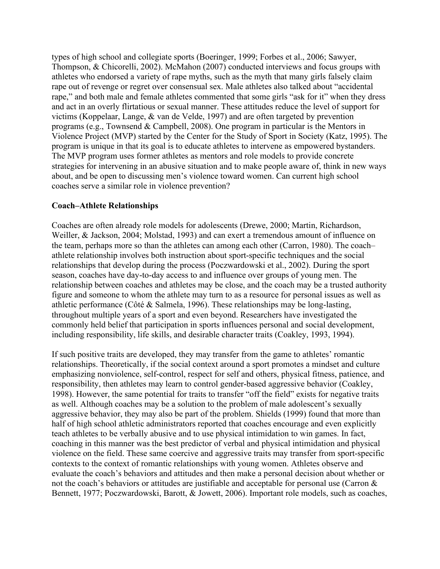types of high school and collegiate sports (Boeringer, 1999; Forbes et al., 2006; Sawyer, Thompson, & Chicorelli, 2002). McMahon (2007) conducted interviews and focus groups with athletes who endorsed a variety of rape myths, such as the myth that many girls falsely claim rape out of revenge or regret over consensual sex. Male athletes also talked about "accidental rape," and both male and female athletes commented that some girls "ask for it" when they dress and act in an overly flirtatious or sexual manner. These attitudes reduce the level of support for victims (Koppelaar, Lange, & van de Velde, 1997) and are often targeted by prevention programs (e.g., Townsend & Campbell, 2008). One program in particular is the Mentors in Violence Project (MVP) started by the Center for the Study of Sport in Society (Katz, 1995). The program is unique in that its goal is to educate athletes to intervene as empowered bystanders. The MVP program uses former athletes as mentors and role models to provide concrete strategies for intervening in an abusive situation and to make people aware of, think in new ways about, and be open to discussing men's violence toward women. Can current high school coaches serve a similar role in violence prevention?

#### **Coach–Athlete Relationships**

Coaches are often already role models for adolescents (Drewe, 2000; Martin, Richardson, Weiller, & Jackson, 2004; Molstad, 1993) and can exert a tremendous amount of influence on the team, perhaps more so than the athletes can among each other (Carron, 1980). The coach– athlete relationship involves both instruction about sport-specific techniques and the social relationships that develop during the process (Poczwardowski et al., 2002). During the sport season, coaches have day-to-day access to and influence over groups of young men. The relationship between coaches and athletes may be close, and the coach may be a trusted authority figure and someone to whom the athlete may turn to as a resource for personal issues as well as athletic performance (Côté & Salmela, 1996). These relationships may be long-lasting, throughout multiple years of a sport and even beyond. Researchers have investigated the commonly held belief that participation in sports influences personal and social development, including responsibility, life skills, and desirable character traits (Coakley, 1993, 1994).

If such positive traits are developed, they may transfer from the game to athletes' romantic relationships. Theoretically, if the social context around a sport promotes a mindset and culture emphasizing nonviolence, self-control, respect for self and others, physical fitness, patience, and responsibility, then athletes may learn to control gender-based aggressive behavior (Coakley, 1998). However, the same potential for traits to transfer "off the field" exists for negative traits as well. Although coaches may be a solution to the problem of male adolescent's sexually aggressive behavior, they may also be part of the problem. Shields (1999) found that more than half of high school athletic administrators reported that coaches encourage and even explicitly teach athletes to be verbally abusive and to use physical intimidation to win games. In fact, coaching in this manner was the best predictor of verbal and physical intimidation and physical violence on the field. These same coercive and aggressive traits may transfer from sport-specific contexts to the context of romantic relationships with young women. Athletes observe and evaluate the coach's behaviors and attitudes and then make a personal decision about whether or not the coach's behaviors or attitudes are justifiable and acceptable for personal use (Carron & Bennett, 1977; Poczwardowski, Barott, & Jowett, 2006). Important role models, such as coaches,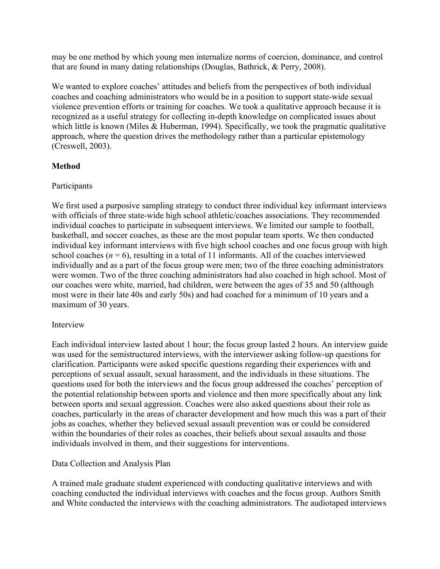may be one method by which young men internalize norms of coercion, dominance, and control that are found in many dating relationships (Douglas, Bathrick, & Perry, 2008).

We wanted to explore coaches' attitudes and beliefs from the perspectives of both individual coaches and coaching administrators who would be in a position to support state-wide sexual violence prevention efforts or training for coaches. We took a qualitative approach because it is recognized as a useful strategy for collecting in-depth knowledge on complicated issues about which little is known (Miles & Huberman, 1994). Specifically, we took the pragmatic qualitative approach, where the question drives the methodology rather than a particular epistemology (Creswell, 2003).

## **Method**

## Participants

We first used a purposive sampling strategy to conduct three individual key informant interviews with officials of three state-wide high school athletic/coaches associations. They recommended individual coaches to participate in subsequent interviews. We limited our sample to football, basketball, and soccer coaches, as these are the most popular team sports. We then conducted individual key informant interviews with five high school coaches and one focus group with high school coaches  $(n = 6)$ , resulting in a total of 11 informants. All of the coaches interviewed individually and as a part of the focus group were men; two of the three coaching administrators were women. Two of the three coaching administrators had also coached in high school. Most of our coaches were white, married, had children, were between the ages of 35 and 50 (although most were in their late 40s and early 50s) and had coached for a minimum of 10 years and a maximum of 30 years.

## Interview

Each individual interview lasted about 1 hour; the focus group lasted 2 hours. An interview guide was used for the semistructured interviews, with the interviewer asking follow-up questions for clarification. Participants were asked specific questions regarding their experiences with and perceptions of sexual assault, sexual harassment, and the individuals in these situations. The questions used for both the interviews and the focus group addressed the coaches' perception of the potential relationship between sports and violence and then more specifically about any link between sports and sexual aggression. Coaches were also asked questions about their role as coaches, particularly in the areas of character development and how much this was a part of their jobs as coaches, whether they believed sexual assault prevention was or could be considered within the boundaries of their roles as coaches, their beliefs about sexual assaults and those individuals involved in them, and their suggestions for interventions.

## Data Collection and Analysis Plan

A trained male graduate student experienced with conducting qualitative interviews and with coaching conducted the individual interviews with coaches and the focus group. Authors Smith and White conducted the interviews with the coaching administrators. The audiotaped interviews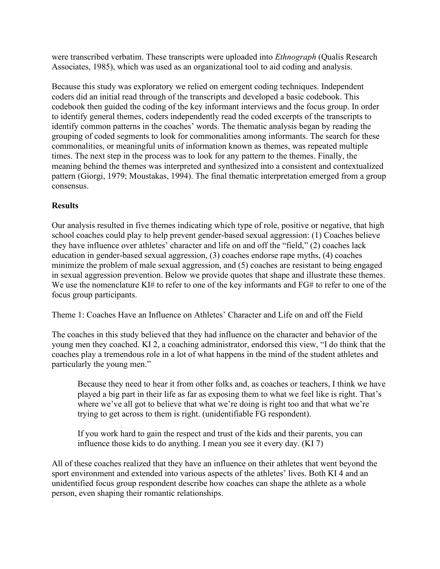were transcribed verbatim. These transcripts were uploaded into *Ethnograph* (Qualis Research Associates, 1985), which was used as an organizational tool to aid coding and analysis.

Because this study was exploratory we relied on emergent coding techniques. Independent coders did an initial read through of the transcripts and developed a basic codebook. This codebook then guided the coding of the key informant interviews and the focus group. In order to identify general themes, coders independently read the coded excerpts of the transcripts to identify common patterns in the coaches' words. The thematic analysis began by reading the grouping of coded segments to look for commonalities among informants. The search for these commonalities, or meaningful units of information known as themes, was repeated multiple times. The next step in the process was to look for any pattern to the themes. Finally, the meaning behind the themes was interpreted and synthesized into a consistent and contextualized pattern (Giorgi, 1979; Moustakas, 1994). The final thematic interpretation emerged from a group consensus.

## **Results**

Our analysis resulted in five themes indicating which type of role, positive or negative, that high school coaches could play to help prevent gender-based sexual aggression: (1) Coaches believe they have influence over athletes' character and life on and off the "field," (2) coaches lack education in gender-based sexual aggression, (3) coaches endorse rape myths, (4) coaches minimize the problem of male sexual aggression, and (5) coaches are resistant to being engaged in sexual aggression prevention. Below we provide quotes that shape and illustrate these themes. We use the nomenclature KI# to refer to one of the key informants and FG# to refer to one of the focus group participants.

Theme 1: Coaches Have an Influence on Athletes' Character and Life on and off the Field

The coaches in this study believed that they had influence on the character and behavior of the young men they coached. KI 2, a coaching administrator, endorsed this view, "I do think that the coaches play a tremendous role in a lot of what happens in the mind of the student athletes and particularly the young men."

Because they need to hear it from other folks and, as coaches or teachers, I think we have played a big part in their life as far as exposing them to what we feel like is right. That's where we've all got to believe that what we're doing is right too and that what we're trying to get across to them is right. (unidentifiable FG respondent).

If you work hard to gain the respect and trust of the kids and their parents, you can influence those kids to do anything. I mean you see it every day. (KI 7)

All of these coaches realized that they have an influence on their athletes that went beyond the sport environment and extended into various aspects of the athletes' lives. Both KI 4 and an unidentified focus group respondent describe how coaches can shape the athlete as a whole person, even shaping their romantic relationships.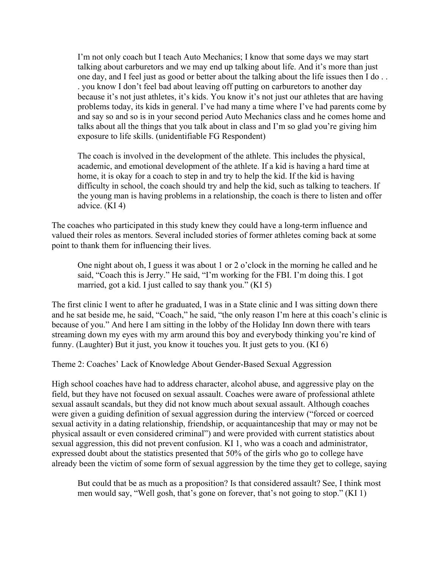I'm not only coach but I teach Auto Mechanics; I know that some days we may start talking about carburetors and we may end up talking about life. And it's more than just one day, and I feel just as good or better about the talking about the life issues then I do . . . you know I don't feel bad about leaving off putting on carburetors to another day because it's not just athletes, it's kids. You know it's not just our athletes that are having problems today, its kids in general. I've had many a time where I've had parents come by and say so and so is in your second period Auto Mechanics class and he comes home and talks about all the things that you talk about in class and I'm so glad you're giving him exposure to life skills. (unidentifiable FG Respondent)

The coach is involved in the development of the athlete. This includes the physical, academic, and emotional development of the athlete. If a kid is having a hard time at home, it is okay for a coach to step in and try to help the kid. If the kid is having difficulty in school, the coach should try and help the kid, such as talking to teachers. If the young man is having problems in a relationship, the coach is there to listen and offer advice. (KI 4)

The coaches who participated in this study knew they could have a long-term influence and valued their roles as mentors. Several included stories of former athletes coming back at some point to thank them for influencing their lives.

One night about oh, I guess it was about 1 or 2 o'clock in the morning he called and he said, "Coach this is Jerry." He said, "I'm working for the FBI. I'm doing this. I got married, got a kid. I just called to say thank you." (KI 5)

The first clinic I went to after he graduated, I was in a State clinic and I was sitting down there and he sat beside me, he said, "Coach," he said, "the only reason I'm here at this coach's clinic is because of you." And here I am sitting in the lobby of the Holiday Inn down there with tears streaming down my eyes with my arm around this boy and everybody thinking you're kind of funny. (Laughter) But it just, you know it touches you. It just gets to you. (KI 6)

Theme 2: Coaches' Lack of Knowledge About Gender-Based Sexual Aggression

High school coaches have had to address character, alcohol abuse, and aggressive play on the field, but they have not focused on sexual assault. Coaches were aware of professional athlete sexual assault scandals, but they did not know much about sexual assault. Although coaches were given a guiding definition of sexual aggression during the interview ("forced or coerced sexual activity in a dating relationship, friendship, or acquaintanceship that may or may not be physical assault or even considered criminal") and were provided with current statistics about sexual aggression, this did not prevent confusion. KI 1, who was a coach and administrator, expressed doubt about the statistics presented that 50% of the girls who go to college have already been the victim of some form of sexual aggression by the time they get to college, saying

But could that be as much as a proposition? Is that considered assault? See, I think most men would say, "Well gosh, that's gone on forever, that's not going to stop." (KI 1)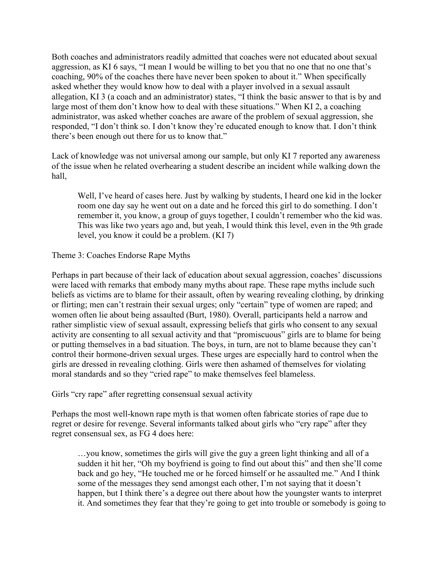Both coaches and administrators readily admitted that coaches were not educated about sexual aggression, as KI 6 says, "I mean I would be willing to bet you that no one that no one that's coaching, 90% of the coaches there have never been spoken to about it." When specifically asked whether they would know how to deal with a player involved in a sexual assault allegation, KI 3 (a coach and an administrator) states, "I think the basic answer to that is by and large most of them don't know how to deal with these situations." When KI 2, a coaching administrator, was asked whether coaches are aware of the problem of sexual aggression, she responded, "I don't think so. I don't know they're educated enough to know that. I don't think there's been enough out there for us to know that."

Lack of knowledge was not universal among our sample, but only KI 7 reported any awareness of the issue when he related overhearing a student describe an incident while walking down the hall,

Well, I've heard of cases here. Just by walking by students, I heard one kid in the locker room one day say he went out on a date and he forced this girl to do something. I don't remember it, you know, a group of guys together, I couldn't remember who the kid was. This was like two years ago and, but yeah, I would think this level, even in the 9th grade level, you know it could be a problem. (KI 7)

Theme 3: Coaches Endorse Rape Myths

Perhaps in part because of their lack of education about sexual aggression, coaches' discussions were laced with remarks that embody many myths about rape. These rape myths include such beliefs as victims are to blame for their assault, often by wearing revealing clothing, by drinking or flirting; men can't restrain their sexual urges; only "certain" type of women are raped; and women often lie about being assaulted (Burt, 1980). Overall, participants held a narrow and rather simplistic view of sexual assault, expressing beliefs that girls who consent to any sexual activity are consenting to all sexual activity and that "promiscuous" girls are to blame for being or putting themselves in a bad situation. The boys, in turn, are not to blame because they can't control their hormone-driven sexual urges. These urges are especially hard to control when the girls are dressed in revealing clothing. Girls were then ashamed of themselves for violating moral standards and so they "cried rape" to make themselves feel blameless.

Girls "cry rape" after regretting consensual sexual activity

Perhaps the most well-known rape myth is that women often fabricate stories of rape due to regret or desire for revenge. Several informants talked about girls who "cry rape" after they regret consensual sex, as FG 4 does here:

…you know, sometimes the girls will give the guy a green light thinking and all of a sudden it hit her, "Oh my boyfriend is going to find out about this" and then she'll come back and go hey, "He touched me or he forced himself or he assaulted me." And I think some of the messages they send amongst each other, I'm not saying that it doesn't happen, but I think there's a degree out there about how the youngster wants to interpret it. And sometimes they fear that they're going to get into trouble or somebody is going to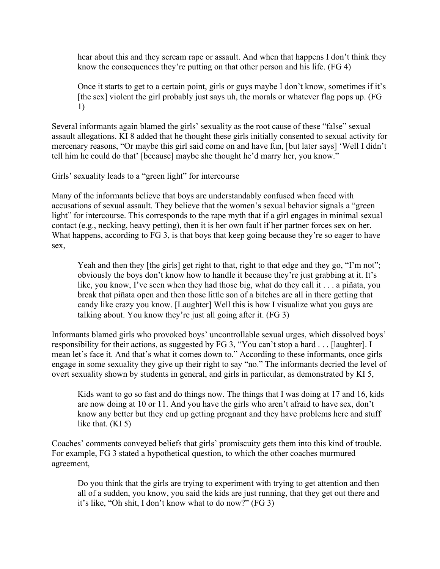hear about this and they scream rape or assault. And when that happens I don't think they know the consequences they're putting on that other person and his life. (FG 4)

Once it starts to get to a certain point, girls or guys maybe I don't know, sometimes if it's [the sex] violent the girl probably just says uh, the morals or whatever flag pops up. (FG 1)

Several informants again blamed the girls' sexuality as the root cause of these "false" sexual assault allegations. KI 8 added that he thought these girls initially consented to sexual activity for mercenary reasons, "Or maybe this girl said come on and have fun, [but later says] 'Well I didn't tell him he could do that' [because] maybe she thought he'd marry her, you know."

Girls' sexuality leads to a "green light" for intercourse

Many of the informants believe that boys are understandably confused when faced with accusations of sexual assault. They believe that the women's sexual behavior signals a "green light" for intercourse. This corresponds to the rape myth that if a girl engages in minimal sexual contact (e.g., necking, heavy petting), then it is her own fault if her partner forces sex on her. What happens, according to FG 3, is that boys that keep going because they're so eager to have sex,

Yeah and then they [the girls] get right to that, right to that edge and they go, "I'm not"; obviously the boys don't know how to handle it because they're just grabbing at it. It's like, you know, I've seen when they had those big, what do they call it . . . a piñata, you break that piñata open and then those little son of a bitches are all in there getting that candy like crazy you know. [Laughter] Well this is how I visualize what you guys are talking about. You know they're just all going after it. (FG 3)

Informants blamed girls who provoked boys' uncontrollable sexual urges, which dissolved boys' responsibility for their actions, as suggested by FG 3, "You can't stop a hard . . . [laughter]. I mean let's face it. And that's what it comes down to." According to these informants, once girls engage in some sexuality they give up their right to say "no." The informants decried the level of overt sexuality shown by students in general, and girls in particular, as demonstrated by KI 5,

Kids want to go so fast and do things now. The things that I was doing at 17 and 16, kids are now doing at 10 or 11. And you have the girls who aren't afraid to have sex, don't know any better but they end up getting pregnant and they have problems here and stuff like that. (KI 5)

Coaches' comments conveyed beliefs that girls' promiscuity gets them into this kind of trouble. For example, FG 3 stated a hypothetical question, to which the other coaches murmured agreement,

Do you think that the girls are trying to experiment with trying to get attention and then all of a sudden, you know, you said the kids are just running, that they get out there and it's like, "Oh shit, I don't know what to do now?" (FG 3)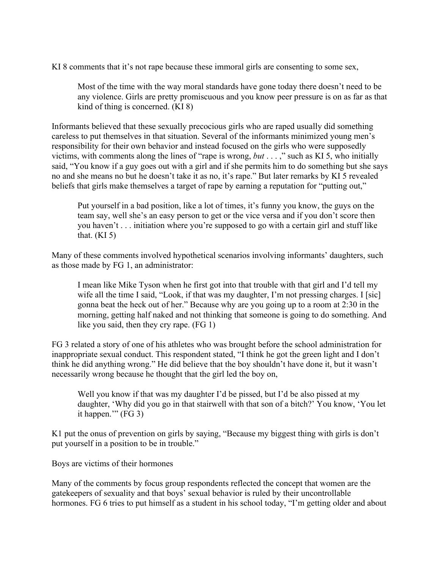KI 8 comments that it's not rape because these immoral girls are consenting to some sex,

Most of the time with the way moral standards have gone today there doesn't need to be any violence. Girls are pretty promiscuous and you know peer pressure is on as far as that kind of thing is concerned. (KI 8)

Informants believed that these sexually precocious girls who are raped usually did something careless to put themselves in that situation. Several of the informants minimized young men's responsibility for their own behavior and instead focused on the girls who were supposedly victims, with comments along the lines of "rape is wrong, *but* . . . ," such as KI 5, who initially said, "You know if a guy goes out with a girl and if she permits him to do something but she says no and she means no but he doesn't take it as no, it's rape." But later remarks by KI 5 revealed beliefs that girls make themselves a target of rape by earning a reputation for "putting out,"

Put yourself in a bad position, like a lot of times, it's funny you know, the guys on the team say, well she's an easy person to get or the vice versa and if you don't score then you haven't . . . initiation where you're supposed to go with a certain girl and stuff like that.  $(KI 5)$ 

Many of these comments involved hypothetical scenarios involving informants' daughters, such as those made by FG 1, an administrator:

I mean like Mike Tyson when he first got into that trouble with that girl and I'd tell my wife all the time I said, "Look, if that was my daughter, I'm not pressing charges. I [sic] gonna beat the heck out of her." Because why are you going up to a room at 2:30 in the morning, getting half naked and not thinking that someone is going to do something. And like you said, then they cry rape. (FG 1)

FG 3 related a story of one of his athletes who was brought before the school administration for inappropriate sexual conduct. This respondent stated, "I think he got the green light and I don't think he did anything wrong." He did believe that the boy shouldn't have done it, but it wasn't necessarily wrong because he thought that the girl led the boy on,

Well you know if that was my daughter I'd be pissed, but I'd be also pissed at my daughter, 'Why did you go in that stairwell with that son of a bitch?' You know, 'You let it happen."  $(FG 3)$ 

K1 put the onus of prevention on girls by saying, "Because my biggest thing with girls is don't put yourself in a position to be in trouble."

Boys are victims of their hormones

Many of the comments by focus group respondents reflected the concept that women are the gatekeepers of sexuality and that boys' sexual behavior is ruled by their uncontrollable hormones. FG 6 tries to put himself as a student in his school today, "I'm getting older and about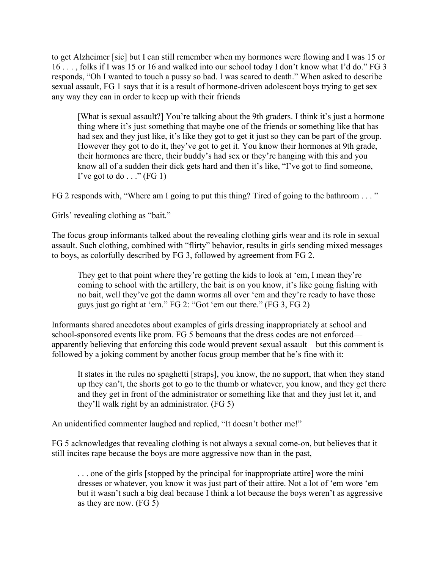to get Alzheimer [sic] but I can still remember when my hormones were flowing and I was 15 or 16 . . . , folks if I was 15 or 16 and walked into our school today I don't know what I'd do." FG 3 responds, "Oh I wanted to touch a pussy so bad. I was scared to death." When asked to describe sexual assault, FG 1 says that it is a result of hormone-driven adolescent boys trying to get sex any way they can in order to keep up with their friends

[What is sexual assault?] You're talking about the 9th graders. I think it's just a hormone thing where it's just something that maybe one of the friends or something like that has had sex and they just like, it's like they got to get it just so they can be part of the group. However they got to do it, they've got to get it. You know their hormones at 9th grade, their hormones are there, their buddy's had sex or they're hanging with this and you know all of a sudden their dick gets hard and then it's like, "I've got to find someone, I've got to do  $\dots$ " (FG 1)

FG 2 responds with, "Where am I going to put this thing? Tired of going to the bathroom . . . "

Girls' revealing clothing as "bait."

The focus group informants talked about the revealing clothing girls wear and its role in sexual assault. Such clothing, combined with "flirty" behavior, results in girls sending mixed messages to boys, as colorfully described by FG 3, followed by agreement from FG 2.

They get to that point where they're getting the kids to look at 'em, I mean they're coming to school with the artillery, the bait is on you know, it's like going fishing with no bait, well they've got the damn worms all over 'em and they're ready to have those guys just go right at 'em." FG 2: "Got 'em out there." (FG 3, FG 2)

Informants shared anecdotes about examples of girls dressing inappropriately at school and school-sponsored events like prom. FG 5 bemoans that the dress codes are not enforced apparently believing that enforcing this code would prevent sexual assault—but this comment is followed by a joking comment by another focus group member that he's fine with it:

It states in the rules no spaghetti [straps], you know, the no support, that when they stand up they can't, the shorts got to go to the thumb or whatever, you know, and they get there and they get in front of the administrator or something like that and they just let it, and they'll walk right by an administrator. (FG 5)

An unidentified commenter laughed and replied, "It doesn't bother me!"

FG 5 acknowledges that revealing clothing is not always a sexual come-on, but believes that it still incites rape because the boys are more aggressive now than in the past,

. . . one of the girls [stopped by the principal for inappropriate attire] wore the mini dresses or whatever, you know it was just part of their attire. Not a lot of 'em wore 'em but it wasn't such a big deal because I think a lot because the boys weren't as aggressive as they are now. (FG 5)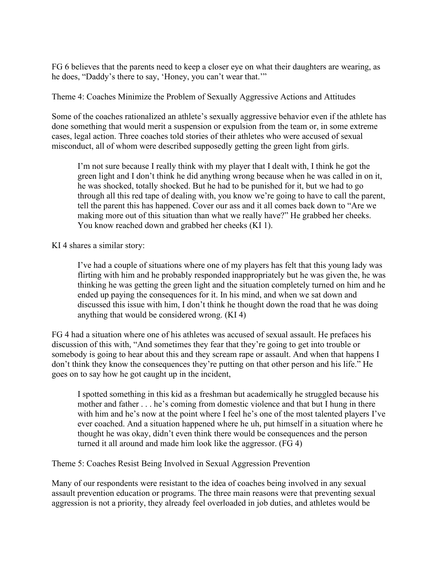FG 6 believes that the parents need to keep a closer eye on what their daughters are wearing, as he does, "Daddy's there to say, 'Honey, you can't wear that.'"

Theme 4: Coaches Minimize the Problem of Sexually Aggressive Actions and Attitudes

Some of the coaches rationalized an athlete's sexually aggressive behavior even if the athlete has done something that would merit a suspension or expulsion from the team or, in some extreme cases, legal action. Three coaches told stories of their athletes who were accused of sexual misconduct, all of whom were described supposedly getting the green light from girls.

I'm not sure because I really think with my player that I dealt with, I think he got the green light and I don't think he did anything wrong because when he was called in on it, he was shocked, totally shocked. But he had to be punished for it, but we had to go through all this red tape of dealing with, you know we're going to have to call the parent, tell the parent this has happened. Cover our ass and it all comes back down to "Are we making more out of this situation than what we really have?" He grabbed her cheeks. You know reached down and grabbed her cheeks (KI 1).

KI 4 shares a similar story:

I've had a couple of situations where one of my players has felt that this young lady was flirting with him and he probably responded inappropriately but he was given the, he was thinking he was getting the green light and the situation completely turned on him and he ended up paying the consequences for it. In his mind, and when we sat down and discussed this issue with him, I don't think he thought down the road that he was doing anything that would be considered wrong. (KI 4)

FG 4 had a situation where one of his athletes was accused of sexual assault. He prefaces his discussion of this with, "And sometimes they fear that they're going to get into trouble or somebody is going to hear about this and they scream rape or assault. And when that happens I don't think they know the consequences they're putting on that other person and his life." He goes on to say how he got caught up in the incident,

I spotted something in this kid as a freshman but academically he struggled because his mother and father . . . he's coming from domestic violence and that but I hung in there with him and he's now at the point where I feel he's one of the most talented players I've ever coached. And a situation happened where he uh, put himself in a situation where he thought he was okay, didn't even think there would be consequences and the person turned it all around and made him look like the aggressor. (FG 4)

Theme 5: Coaches Resist Being Involved in Sexual Aggression Prevention

Many of our respondents were resistant to the idea of coaches being involved in any sexual assault prevention education or programs. The three main reasons were that preventing sexual aggression is not a priority, they already feel overloaded in job duties, and athletes would be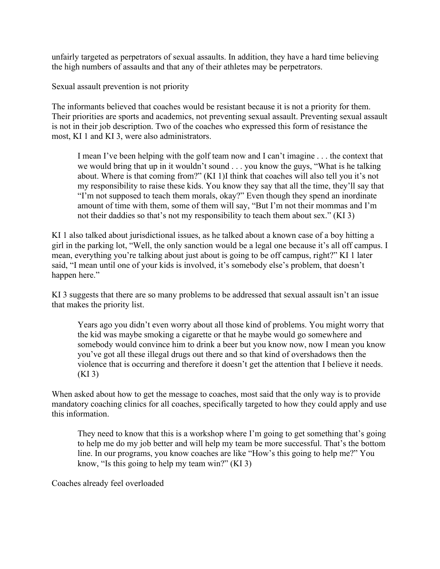unfairly targeted as perpetrators of sexual assaults. In addition, they have a hard time believing the high numbers of assaults and that any of their athletes may be perpetrators.

Sexual assault prevention is not priority

The informants believed that coaches would be resistant because it is not a priority for them. Their priorities are sports and academics, not preventing sexual assault. Preventing sexual assault is not in their job description. Two of the coaches who expressed this form of resistance the most, KI 1 and KI 3, were also administrators.

I mean I've been helping with the golf team now and I can't imagine . . . the context that we would bring that up in it wouldn't sound . . . you know the guys, "What is he talking about. Where is that coming from?" (KI 1)I think that coaches will also tell you it's not my responsibility to raise these kids. You know they say that all the time, they'll say that "I'm not supposed to teach them morals, okay?" Even though they spend an inordinate amount of time with them, some of them will say, "But I'm not their mommas and I'm not their daddies so that's not my responsibility to teach them about sex." (KI 3)

KI 1 also talked about jurisdictional issues, as he talked about a known case of a boy hitting a girl in the parking lot, "Well, the only sanction would be a legal one because it's all off campus. I mean, everything you're talking about just about is going to be off campus, right?" KI 1 later said, "I mean until one of your kids is involved, it's somebody else's problem, that doesn't happen here."

KI 3 suggests that there are so many problems to be addressed that sexual assault isn't an issue that makes the priority list.

Years ago you didn't even worry about all those kind of problems. You might worry that the kid was maybe smoking a cigarette or that he maybe would go somewhere and somebody would convince him to drink a beer but you know now, now I mean you know you've got all these illegal drugs out there and so that kind of overshadows then the violence that is occurring and therefore it doesn't get the attention that I believe it needs. (KI 3)

When asked about how to get the message to coaches, most said that the only way is to provide mandatory coaching clinics for all coaches, specifically targeted to how they could apply and use this information.

They need to know that this is a workshop where I'm going to get something that's going to help me do my job better and will help my team be more successful. That's the bottom line. In our programs, you know coaches are like "How's this going to help me?" You know, "Is this going to help my team win?" (KI 3)

Coaches already feel overloaded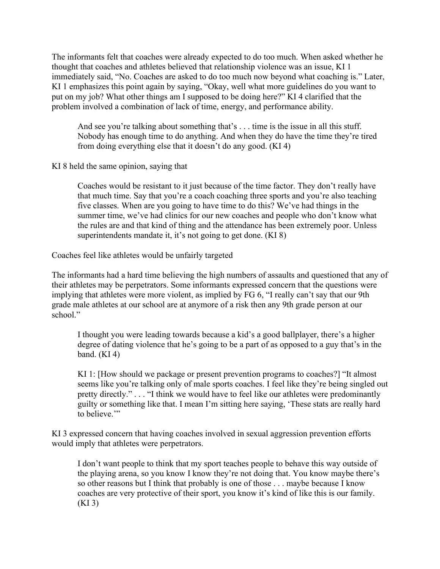The informants felt that coaches were already expected to do too much. When asked whether he thought that coaches and athletes believed that relationship violence was an issue, KI 1 immediately said, "No. Coaches are asked to do too much now beyond what coaching is." Later, KI 1 emphasizes this point again by saying, "Okay, well what more guidelines do you want to put on my job? What other things am I supposed to be doing here?" KI 4 clarified that the problem involved a combination of lack of time, energy, and performance ability.

And see you're talking about something that's . . . time is the issue in all this stuff. Nobody has enough time to do anything. And when they do have the time they're tired from doing everything else that it doesn't do any good. (KI 4)

KI 8 held the same opinion, saying that

Coaches would be resistant to it just because of the time factor. They don't really have that much time. Say that you're a coach coaching three sports and you're also teaching five classes. When are you going to have time to do this? We've had things in the summer time, we've had clinics for our new coaches and people who don't know what the rules are and that kind of thing and the attendance has been extremely poor. Unless superintendents mandate it, it's not going to get done. (KI 8)

Coaches feel like athletes would be unfairly targeted

The informants had a hard time believing the high numbers of assaults and questioned that any of their athletes may be perpetrators. Some informants expressed concern that the questions were implying that athletes were more violent, as implied by FG 6, "I really can't say that our 9th grade male athletes at our school are at anymore of a risk then any 9th grade person at our school."

I thought you were leading towards because a kid's a good ballplayer, there's a higher degree of dating violence that he's going to be a part of as opposed to a guy that's in the band.  $(KI 4)$ 

KI 1: [How should we package or present prevention programs to coaches?] "It almost seems like you're talking only of male sports coaches. I feel like they're being singled out pretty directly." . . . "I think we would have to feel like our athletes were predominantly guilty or something like that. I mean I'm sitting here saying, 'These stats are really hard to believe."

KI 3 expressed concern that having coaches involved in sexual aggression prevention efforts would imply that athletes were perpetrators.

I don't want people to think that my sport teaches people to behave this way outside of the playing arena, so you know I know they're not doing that. You know maybe there's so other reasons but I think that probably is one of those . . . maybe because I know coaches are very protective of their sport, you know it's kind of like this is our family. (KI 3)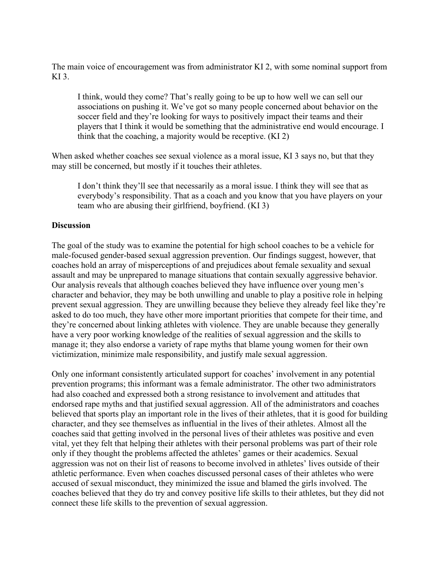The main voice of encouragement was from administrator KI 2, with some nominal support from KI 3.

I think, would they come? That's really going to be up to how well we can sell our associations on pushing it. We've got so many people concerned about behavior on the soccer field and they're looking for ways to positively impact their teams and their players that I think it would be something that the administrative end would encourage. I think that the coaching, a majority would be receptive. (KI 2)

When asked whether coaches see sexual violence as a moral issue, KI 3 says no, but that they may still be concerned, but mostly if it touches their athletes.

I don't think they'll see that necessarily as a moral issue. I think they will see that as everybody's responsibility. That as a coach and you know that you have players on your team who are abusing their girlfriend, boyfriend. (KI 3)

#### **Discussion**

The goal of the study was to examine the potential for high school coaches to be a vehicle for male-focused gender-based sexual aggression prevention. Our findings suggest, however, that coaches hold an array of misperceptions of and prejudices about female sexuality and sexual assault and may be unprepared to manage situations that contain sexually aggressive behavior. Our analysis reveals that although coaches believed they have influence over young men's character and behavior, they may be both unwilling and unable to play a positive role in helping prevent sexual aggression. They are unwilling because they believe they already feel like they're asked to do too much, they have other more important priorities that compete for their time, and they're concerned about linking athletes with violence. They are unable because they generally have a very poor working knowledge of the realities of sexual aggression and the skills to manage it; they also endorse a variety of rape myths that blame young women for their own victimization, minimize male responsibility, and justify male sexual aggression.

Only one informant consistently articulated support for coaches' involvement in any potential prevention programs; this informant was a female administrator. The other two administrators had also coached and expressed both a strong resistance to involvement and attitudes that endorsed rape myths and that justified sexual aggression. All of the administrators and coaches believed that sports play an important role in the lives of their athletes, that it is good for building character, and they see themselves as influential in the lives of their athletes. Almost all the coaches said that getting involved in the personal lives of their athletes was positive and even vital, yet they felt that helping their athletes with their personal problems was part of their role only if they thought the problems affected the athletes' games or their academics. Sexual aggression was not on their list of reasons to become involved in athletes' lives outside of their athletic performance. Even when coaches discussed personal cases of their athletes who were accused of sexual misconduct, they minimized the issue and blamed the girls involved. The coaches believed that they do try and convey positive life skills to their athletes, but they did not connect these life skills to the prevention of sexual aggression.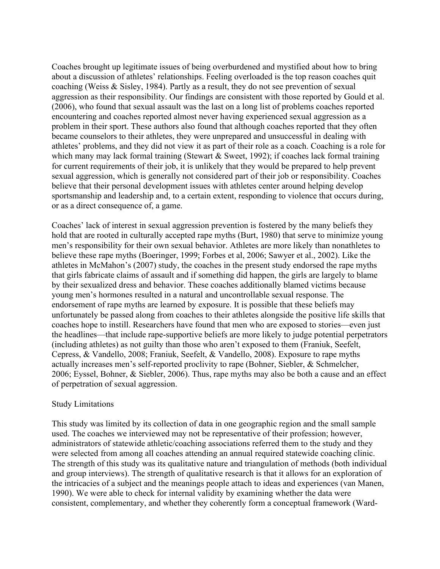Coaches brought up legitimate issues of being overburdened and mystified about how to bring about a discussion of athletes' relationships. Feeling overloaded is the top reason coaches quit coaching (Weiss & Sisley, 1984). Partly as a result, they do not see prevention of sexual aggression as their responsibility. Our findings are consistent with those reported by Gould et al. (2006), who found that sexual assault was the last on a long list of problems coaches reported encountering and coaches reported almost never having experienced sexual aggression as a problem in their sport. These authors also found that although coaches reported that they often became counselors to their athletes, they were unprepared and unsuccessful in dealing with athletes' problems, and they did not view it as part of their role as a coach. Coaching is a role for which many may lack formal training (Stewart & Sweet, 1992); if coaches lack formal training for current requirements of their job, it is unlikely that they would be prepared to help prevent sexual aggression, which is generally not considered part of their job or responsibility. Coaches believe that their personal development issues with athletes center around helping develop sportsmanship and leadership and, to a certain extent, responding to violence that occurs during, or as a direct consequence of, a game.

Coaches' lack of interest in sexual aggression prevention is fostered by the many beliefs they hold that are rooted in culturally accepted rape myths (Burt, 1980) that serve to minimize young men's responsibility for their own sexual behavior. Athletes are more likely than nonathletes to believe these rape myths (Boeringer, 1999; Forbes et al, 2006; Sawyer et al., 2002). Like the athletes in McMahon's (2007) study, the coaches in the present study endorsed the rape myths that girls fabricate claims of assault and if something did happen, the girls are largely to blame by their sexualized dress and behavior. These coaches additionally blamed victims because young men's hormones resulted in a natural and uncontrollable sexual response. The endorsement of rape myths are learned by exposure. It is possible that these beliefs may unfortunately be passed along from coaches to their athletes alongside the positive life skills that coaches hope to instill. Researchers have found that men who are exposed to stories—even just the headlines—that include rape-supportive beliefs are more likely to judge potential perpetrators (including athletes) as not guilty than those who aren't exposed to them (Franiuk, Seefelt, Cepress, & Vandello, 2008; Franiuk, Seefelt, & Vandello, 2008). Exposure to rape myths actually increases men's self-reported proclivity to rape (Bohner, Siebler, & Schmelcher, 2006; Eyssel, Bohner, & Siebler, 2006). Thus, rape myths may also be both a cause and an effect of perpetration of sexual aggression.

#### Study Limitations

This study was limited by its collection of data in one geographic region and the small sample used. The coaches we interviewed may not be representative of their profession; however, administrators of statewide athletic/coaching associations referred them to the study and they were selected from among all coaches attending an annual required statewide coaching clinic. The strength of this study was its qualitative nature and triangulation of methods (both individual and group interviews). The strength of qualitative research is that it allows for an exploration of the intricacies of a subject and the meanings people attach to ideas and experiences (van Manen, 1990). We were able to check for internal validity by examining whether the data were consistent, complementary, and whether they coherently form a conceptual framework (Ward-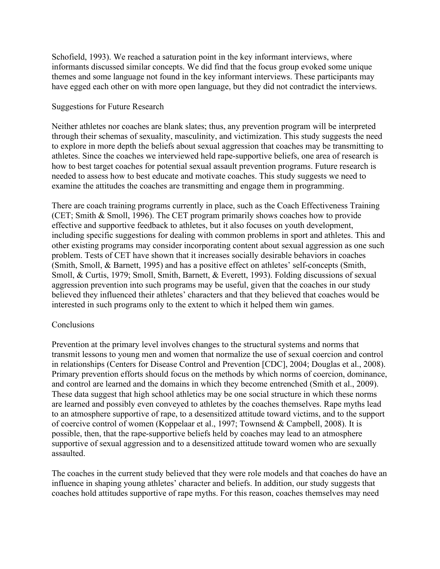Schofield, 1993). We reached a saturation point in the key informant interviews, where informants discussed similar concepts. We did find that the focus group evoked some unique themes and some language not found in the key informant interviews. These participants may have egged each other on with more open language, but they did not contradict the interviews.

#### Suggestions for Future Research

Neither athletes nor coaches are blank slates; thus, any prevention program will be interpreted through their schemas of sexuality, masculinity, and victimization. This study suggests the need to explore in more depth the beliefs about sexual aggression that coaches may be transmitting to athletes. Since the coaches we interviewed held rape-supportive beliefs, one area of research is how to best target coaches for potential sexual assault prevention programs. Future research is needed to assess how to best educate and motivate coaches. This study suggests we need to examine the attitudes the coaches are transmitting and engage them in programming.

There are coach training programs currently in place, such as the Coach Effectiveness Training (CET; Smith & Smoll, 1996). The CET program primarily shows coaches how to provide effective and supportive feedback to athletes, but it also focuses on youth development, including specific suggestions for dealing with common problems in sport and athletes. This and other existing programs may consider incorporating content about sexual aggression as one such problem. Tests of CET have shown that it increases socially desirable behaviors in coaches (Smith, Smoll, & Barnett, 1995) and has a positive effect on athletes' self-concepts (Smith, Smoll, & Curtis, 1979; Smoll, Smith, Barnett, & Everett, 1993). Folding discussions of sexual aggression prevention into such programs may be useful, given that the coaches in our study believed they influenced their athletes' characters and that they believed that coaches would be interested in such programs only to the extent to which it helped them win games.

#### **Conclusions**

Prevention at the primary level involves changes to the structural systems and norms that transmit lessons to young men and women that normalize the use of sexual coercion and control in relationships (Centers for Disease Control and Prevention [CDC], 2004; Douglas et al., 2008). Primary prevention efforts should focus on the methods by which norms of coercion, dominance, and control are learned and the domains in which they become entrenched (Smith et al., 2009). These data suggest that high school athletics may be one social structure in which these norms are learned and possibly even conveyed to athletes by the coaches themselves. Rape myths lead to an atmosphere supportive of rape, to a desensitized attitude toward victims, and to the support of coercive control of women (Koppelaar et al., 1997; Townsend & Campbell, 2008). It is possible, then, that the rape-supportive beliefs held by coaches may lead to an atmosphere supportive of sexual aggression and to a desensitized attitude toward women who are sexually assaulted.

The coaches in the current study believed that they were role models and that coaches do have an influence in shaping young athletes' character and beliefs. In addition, our study suggests that coaches hold attitudes supportive of rape myths. For this reason, coaches themselves may need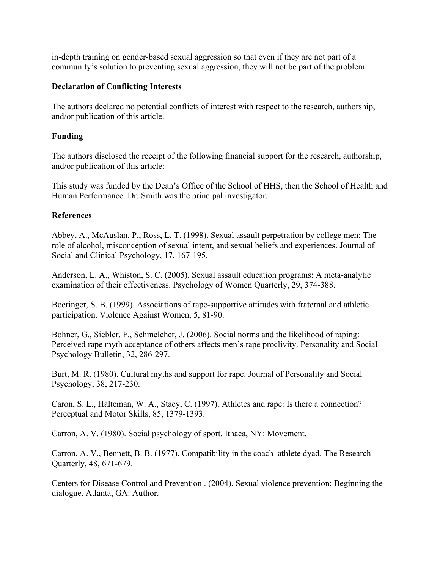in-depth training on gender-based sexual aggression so that even if they are not part of a community's solution to preventing sexual aggression, they will not be part of the problem.

## **Declaration of Conflicting Interests**

The authors declared no potential conflicts of interest with respect to the research, authorship, and/or publication of this article.

#### **Funding**

The authors disclosed the receipt of the following financial support for the research, authorship, and/or publication of this article:

This study was funded by the Dean's Office of the School of HHS, then the School of Health and Human Performance. Dr. Smith was the principal investigator.

#### **References**

Abbey, A., McAuslan, P., Ross, L. T. (1998). Sexual assault perpetration by college men: The role of alcohol, misconception of sexual intent, and sexual beliefs and experiences. Journal of Social and Clinical Psychology, 17, 167-195.

Anderson, L. A., Whiston, S. C. (2005). Sexual assault education programs: A meta-analytic examination of their effectiveness. Psychology of Women Quarterly, 29, 374-388.

Boeringer, S. B. (1999). Associations of rape-supportive attitudes with fraternal and athletic participation. Violence Against Women, 5, 81-90.

Bohner, G., Siebler, F., Schmelcher, J. (2006). Social norms and the likelihood of raping: Perceived rape myth acceptance of others affects men's rape proclivity. Personality and Social Psychology Bulletin, 32, 286-297.

Burt, M. R. (1980). Cultural myths and support for rape. Journal of Personality and Social Psychology, 38, 217-230.

Caron, S. L., Halteman, W. A., Stacy, C. (1997). Athletes and rape: Is there a connection? Perceptual and Motor Skills, 85, 1379-1393.

Carron, A. V. (1980). Social psychology of sport. Ithaca, NY: Movement.

Carron, A. V., Bennett, B. B. (1977). Compatibility in the coach–athlete dyad. The Research Quarterly, 48, 671-679.

Centers for Disease Control and Prevention . (2004). Sexual violence prevention: Beginning the dialogue. Atlanta, GA: Author.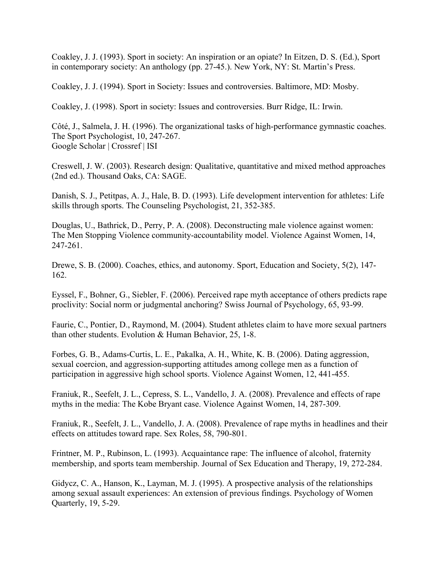Coakley, J. J. (1993). Sport in society: An inspiration or an opiate? In Eitzen, D. S. (Ed.), Sport in contemporary society: An anthology (pp. 27-45.). New York, NY: St. Martin's Press.

Coakley, J. J. (1994). Sport in Society: Issues and controversies. Baltimore, MD: Mosby.

Coakley, J. (1998). Sport in society: Issues and controversies. Burr Ridge, IL: Irwin.

Côté, J., Salmela, J. H. (1996). The organizational tasks of high-performance gymnastic coaches. The Sport Psychologist, 10, 247-267. Google Scholar | Crossref | ISI

Creswell, J. W. (2003). Research design: Qualitative, quantitative and mixed method approaches (2nd ed.). Thousand Oaks, CA: SAGE.

Danish, S. J., Petitpas, A. J., Hale, B. D. (1993). Life development intervention for athletes: Life skills through sports. The Counseling Psychologist, 21, 352-385.

Douglas, U., Bathrick, D., Perry, P. A. (2008). Deconstructing male violence against women: The Men Stopping Violence community-accountability model. Violence Against Women, 14, 247-261.

Drewe, S. B. (2000). Coaches, ethics, and autonomy. Sport, Education and Society, 5(2), 147- 162.

Eyssel, F., Bohner, G., Siebler, F. (2006). Perceived rape myth acceptance of others predicts rape proclivity: Social norm or judgmental anchoring? Swiss Journal of Psychology, 65, 93-99.

Faurie, C., Pontier, D., Raymond, M. (2004). Student athletes claim to have more sexual partners than other students. Evolution & Human Behavior, 25, 1-8.

Forbes, G. B., Adams-Curtis, L. E., Pakalka, A. H., White, K. B. (2006). Dating aggression, sexual coercion, and aggression-supporting attitudes among college men as a function of participation in aggressive high school sports. Violence Against Women, 12, 441-455.

Franiuk, R., Seefelt, J. L., Cepress, S. L., Vandello, J. A. (2008). Prevalence and effects of rape myths in the media: The Kobe Bryant case. Violence Against Women, 14, 287-309.

Franiuk, R., Seefelt, J. L., Vandello, J. A. (2008). Prevalence of rape myths in headlines and their effects on attitudes toward rape. Sex Roles, 58, 790-801.

Frintner, M. P., Rubinson, L. (1993). Acquaintance rape: The influence of alcohol, fraternity membership, and sports team membership. Journal of Sex Education and Therapy, 19, 272-284.

Gidycz, C. A., Hanson, K., Layman, M. J. (1995). A prospective analysis of the relationships among sexual assault experiences: An extension of previous findings. Psychology of Women Quarterly, 19, 5-29.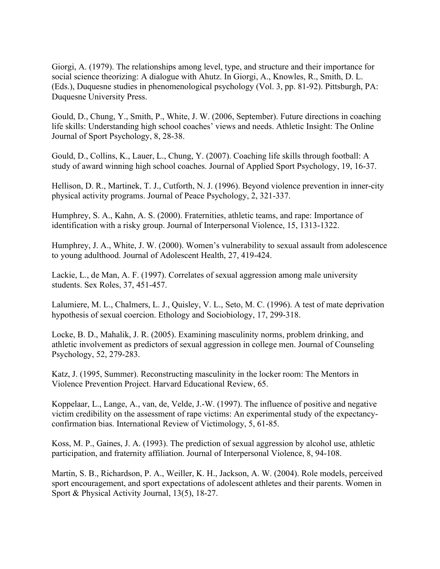Giorgi, A. (1979). The relationships among level, type, and structure and their importance for social science theorizing: A dialogue with Ahutz. In Giorgi, A., Knowles, R., Smith, D. L. (Eds.), Duquesne studies in phenomenological psychology (Vol. 3, pp. 81-92). Pittsburgh, PA: Duquesne University Press.

Gould, D., Chung, Y., Smith, P., White, J. W. (2006, September). Future directions in coaching life skills: Understanding high school coaches' views and needs. Athletic Insight: The Online Journal of Sport Psychology, 8, 28-38.

Gould, D., Collins, K., Lauer, L., Chung, Y. (2007). Coaching life skills through football: A study of award winning high school coaches. Journal of Applied Sport Psychology, 19, 16-37.

Hellison, D. R., Martinek, T. J., Cutforth, N. J. (1996). Beyond violence prevention in inner-city physical activity programs. Journal of Peace Psychology, 2, 321-337.

Humphrey, S. A., Kahn, A. S. (2000). Fraternities, athletic teams, and rape: Importance of identification with a risky group. Journal of Interpersonal Violence, 15, 1313-1322.

Humphrey, J. A., White, J. W. (2000). Women's vulnerability to sexual assault from adolescence to young adulthood. Journal of Adolescent Health, 27, 419-424.

Lackie, L., de Man, A. F. (1997). Correlates of sexual aggression among male university students. Sex Roles, 37, 451-457.

Lalumiere, M. L., Chalmers, L. J., Quisley, V. L., Seto, M. C. (1996). A test of mate deprivation hypothesis of sexual coercion. Ethology and Sociobiology, 17, 299-318.

Locke, B. D., Mahalik, J. R. (2005). Examining masculinity norms, problem drinking, and athletic involvement as predictors of sexual aggression in college men. Journal of Counseling Psychology, 52, 279-283.

Katz, J. (1995, Summer). Reconstructing masculinity in the locker room: The Mentors in Violence Prevention Project. Harvard Educational Review, 65.

Koppelaar, L., Lange, A., van, de, Velde, J.-W. (1997). The influence of positive and negative victim credibility on the assessment of rape victims: An experimental study of the expectancyconfirmation bias. International Review of Victimology, 5, 61-85.

Koss, M. P., Gaines, J. A. (1993). The prediction of sexual aggression by alcohol use, athletic participation, and fraternity affiliation. Journal of Interpersonal Violence, 8, 94-108.

Martin, S. B., Richardson, P. A., Weiller, K. H., Jackson, A. W. (2004). Role models, perceived sport encouragement, and sport expectations of adolescent athletes and their parents. Women in Sport & Physical Activity Journal, 13(5), 18-27.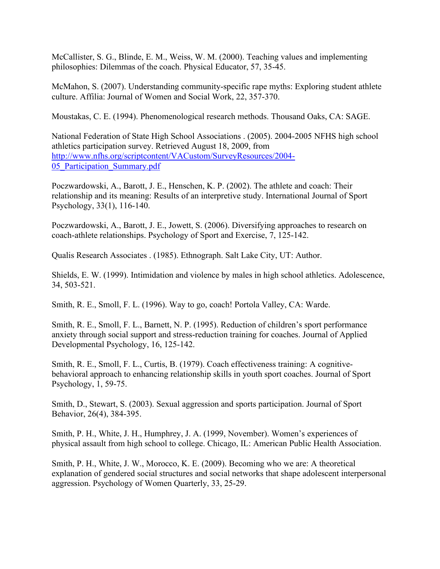McCallister, S. G., Blinde, E. M., Weiss, W. M. (2000). Teaching values and implementing philosophies: Dilemmas of the coach. Physical Educator, 57, 35-45.

McMahon, S. (2007). Understanding community-specific rape myths: Exploring student athlete culture. Affilia: Journal of Women and Social Work, 22, 357-370.

Moustakas, C. E. (1994). Phenomenological research methods. Thousand Oaks, CA: SAGE.

National Federation of State High School Associations . (2005). 2004-2005 NFHS high school athletics participation survey. Retrieved August 18, 2009, from [http://www.nfhs.org/scriptcontent/VACustom/SurveyResources/2004-](http://www.nfhs.org/scriptcontent/VACustom/SurveyResources/2004-05_Participation_Summary.pdf) [05\\_Participation\\_Summary.pdf](http://www.nfhs.org/scriptcontent/VACustom/SurveyResources/2004-05_Participation_Summary.pdf)

Poczwardowski, A., Barott, J. E., Henschen, K. P. (2002). The athlete and coach: Their relationship and its meaning: Results of an interpretive study. International Journal of Sport Psychology, 33(1), 116-140.

Poczwardowski, A., Barott, J. E., Jowett, S. (2006). Diversifying approaches to research on coach-athlete relationships. Psychology of Sport and Exercise, 7, 125-142.

Qualis Research Associates . (1985). Ethnograph. Salt Lake City, UT: Author.

Shields, E. W. (1999). Intimidation and violence by males in high school athletics. Adolescence, 34, 503-521.

Smith, R. E., Smoll, F. L. (1996). Way to go, coach! Portola Valley, CA: Warde.

Smith, R. E., Smoll, F. L., Barnett, N. P. (1995). Reduction of children's sport performance anxiety through social support and stress-reduction training for coaches. Journal of Applied Developmental Psychology, 16, 125-142.

Smith, R. E., Smoll, F. L., Curtis, B. (1979). Coach effectiveness training: A cognitivebehavioral approach to enhancing relationship skills in youth sport coaches. Journal of Sport Psychology, 1, 59-75.

Smith, D., Stewart, S. (2003). Sexual aggression and sports participation. Journal of Sport Behavior, 26(4), 384-395.

Smith, P. H., White, J. H., Humphrey, J. A. (1999, November). Women's experiences of physical assault from high school to college. Chicago, IL: American Public Health Association.

Smith, P. H., White, J. W., Morocco, K. E. (2009). Becoming who we are: A theoretical explanation of gendered social structures and social networks that shape adolescent interpersonal aggression. Psychology of Women Quarterly, 33, 25-29.